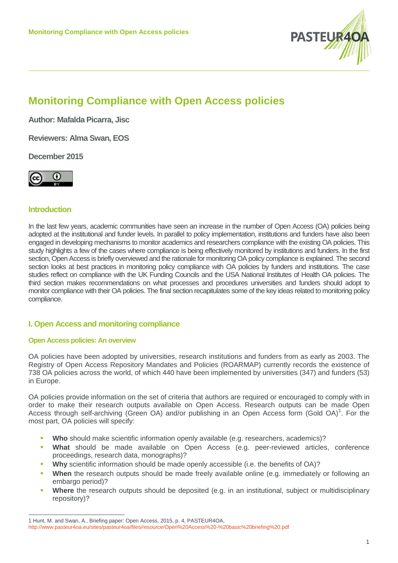

# **Monitoring Compliance with Open Access policies**

**Author: Mafalda Picarra, Jisc**

**Reviewers: Alma Swan, EOS**

**December 2015**



# **Introduction**

 $\overline{a}$ 

In the last few years, academic communities have seen an increase in the number of Open Access (OA) policies being adopted at the institutional and funder levels. In parallel to policy implementation, institutions and funders have also been engaged in developing mechanisms to monitor academics and researchers compliance with the existing OA policies. This study highlights a few of the cases where compliance is being effectively monitored by institutions and funders. In the first section, Open Access is briefly overviewed and the rationale for monitoring OA policy compliance is explained. The second section looks at best practices in monitoring policy compliance with OA policies by funders and institutions. The case studies reflect on compliance with the UK Funding Councils and the USA National Institutes of Health OA policies. The third section makes recommendations on what processes and procedures universities and funders should adopt to monitor compliance with their OA policies. The final section recapitulates some of the key ideas related to monitoring policy compliance.

# **I. Open Access and monitoring compliance**

## **Open Access policies: An overview**

OA policies have been adopted by universities, research institutions and funders from as early as 2003. The Registry of Open Access Repository Mandates and Policies (ROARMAP) currently records the existence of 738 OA policies across the world, of which 440 have been implemented by universities (347) and funders (53) in Europe.

OA policies provide information on the set of criteria that authors are required or encouraged to comply with in order to make their research outputs available on Open Access. Research outputs can be made Open Access through self-archiving (Green OA) and/or publishing in an Open Access form (Gold OA)<sup>[1](#page-0-0)</sup>. For the most part, OA policies will specify:

- Who should make scientific information openly available (e.g. researchers, academics)?
- **What** should be made available on Open Access (e.g. peer-reviewed articles, conference proceedings, research data, monographs)?
- **▪ Why** scientific information should be made openly accessible (i.e. the benefits of OA)?
- **When** the research outputs should be made freely available online (e.g. immediately or following an embargo period)?
- **Where** the research outputs should be deposited (e.g. in an institutional, subject or multidisciplinary repository)?

<span id="page-0-0"></span><sup>1</sup> Hunt, M. and Swan, A., Briefing paper: Open Access, 2015, p. 4, PASTEUR4OA,

<http://www.pasteur4oa.eu/sites/pasteur4oa/files/resource/Open%20Access%20-%20basic%20briefing%20.pdf>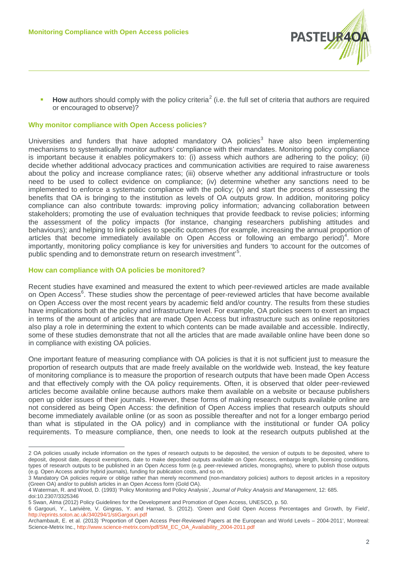

**How** authors should comply with the policy criteria<sup>[2](#page-1-0)</sup> (i.e. the full set of criteria that authors are required or encouraged to observe)?

## **Why monitor compliance with Open Access policies?**

Universities and funders that have adopted mandatory  $OA$  policies<sup>[3](#page-1-1)</sup> have also been implementing mechanisms to systematically monitor authors' compliance with their mandates. Monitoring policy compliance is important because it enables policymakers to: (i) assess which authors are adhering to the policy; (ii) decide whether additional advocacy practices and communication activities are required to raise awareness about the policy and increase compliance rates; (iii) observe whether any additional infrastructure or tools need to be used to collect evidence on compliance; (iv) determine whether any sanctions need to be implemented to enforce a systematic compliance with the policy; (v) and start the process of assessing the benefits that OA is bringing to the institution as levels of OA outputs grow. In addition, monitoring policy compliance can also contribute towards: improving policy information; advancing collaboration between stakeholders; promoting the use of evaluation techniques that provide feedback to revise policies; informing the assessment of the policy impacts (for instance, changing researchers publishing attitudes and behaviours); and helping to link policies to specific outcomes (for example, increasing the annual proportion of articles that become immediately available on Open Access or following an embargo period)<sup>[4](#page-1-2)</sup>. More importantly, monitoring policy compliance is key for universities and funders 'to account for the outcomes of public spending and to demonstrate return on research investment'<sup>[5](#page-1-3)</sup>.

#### **How can compliance with OA policies be monitored?**

Recent studies have examined and measured the extent to which peer-reviewed articles are made available on Open Access<sup>[6](#page-1-4)</sup>. These studies show the percentage of peer-reviewed articles that have become available on Open Access over the most recent years by academic field and/or country. The results from these studies have implications both at the policy and infrastructure level. For example, OA policies seem to exert an impact in terms of the amount of articles that are made Open Access but infrastructure such as online repositories also play a role in determining the extent to which contents can be made available and accessible. Indirectly, some of these studies demonstrate that not all the articles that are made available online have been done so in compliance with existing OA policies.

One important feature of measuring compliance with OA policies is that it is not sufficient just to measure the proportion of research outputs that are made freely available on the worldwide web. Instead, the key feature of monitoring compliance is to measure the proportion of research outputs that have been made Open Access and that effectively comply with the OA policy requirements. Often, it is observed that older peer-reviewed articles become available online because authors make them available on a website or because publishers open up older issues of their journals. However, these forms of making research outputs available online are not considered as being Open Access: the definition of Open Access implies that research outputs should become immediately available online (or as soon as possible thereafter and not for a longer embargo period than what is stipulated in the OA policy) and in compliance with the institutional or funder OA policy requirements. To measure compliance, then, one needs to look at the research outputs published at the

<span id="page-1-0"></span><sup>2</sup> OA policies usually include information on the types of research outputs to be deposited, the version of outputs to be deposited, where to deposit, deposit date, deposit exemptions, date to make deposited outputs available on Open Access, embargo length, licensing conditions, types of research outputs to be published in an Open Access form (e.g. peer-reviewed articles, monographs), where to publish those outputs (e.g. Open Access and/or hybrid journals), funding for publication costs, and so on.

<span id="page-1-1"></span><sup>3</sup> Mandatory OA policies require or oblige rather than merely recommend (non-mandatory policies) authors to deposit articles in a repository (Green OA) and/or to publish articles in an Open Access form (Gold OA).

<span id="page-1-2"></span><sup>4</sup> Waterman, R. and Wood, D. (1993) 'Policy Monitoring and Policy Analysis', *Journal of Policy Analysis and Management*, 12: 685.

doi:10.2307/3325346

<span id="page-1-3"></span><sup>5</sup> Swan, Alma (2012) Policy Guidelines for the Development and Promotion of Open Access, UNESCO, p. 50.

<span id="page-1-4"></span><sup>6</sup> Gargouri, Y., Larivière, V. Gingras, Y. and Harnad, S. (2012). 'Green and Gold Open Access Percentages and Growth, by Field', <http://eprints.soton.ac.uk/340294/1/stiGargouri.pdf>

Archambault, E. et al. (2013) 'Proportion of Open Access Peer-Reviewed Papers at the European and World Levels – 2004-2011', Montreal: Science-Metrix Inc., [http://www.science-metrix.com/pdf/SM\\_EC\\_OA\\_Availability\\_2004-2011.pdf](http://www.science-metrix.com/pdf/SM_EC_OA_Availability_2004-2011.pdf)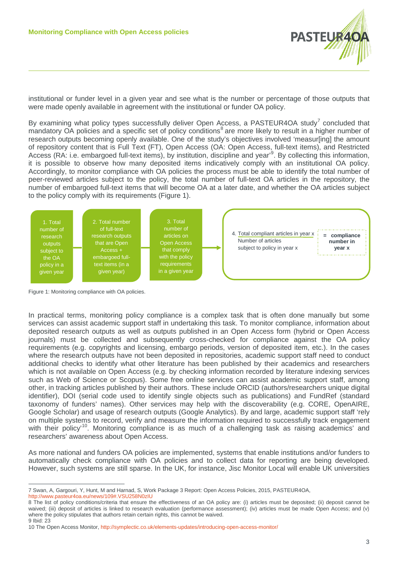

institutional or funder level in a given year and see what is the number or percentage of those outputs that were made openly available in agreement with the institutional or funder OA policy.

By examining what policy types successfully deliver Open Access, a PASTEUR4OA study<sup>[7](#page-2-0)</sup> concluded that mandatory OA policies and a specific set of policy conditions<sup>[8](#page-2-1)</sup> are more likely to result in a higher number of research outputs becoming openly available. One of the study's objectives involved 'measur[ing] the amount of repository content that is Full Text (FT), Open Access (OA: Open Access, full-text items), and Restricted Access (RA: i.e. embargoed full-text items), by institution, discipline and year<sup>[9](#page-2-2)</sup>. By collecting this information, it is possible to observe how many deposited items indicatively comply with an institutional OA policy. Accordingly, to monitor compliance with OA policies the process must be able to identify the total number of peer-reviewed articles subject to the policy, the total number of full-text OA articles in the repository, the number of embargoed full-text items that will become OA at a later date, and whether the OA articles subject to the policy comply with its requirements (Figure 1).



Figure 1: Monitoring compliance with OA policies.

 $\overline{a}$ 

In practical terms, monitoring policy compliance is a complex task that is often done manually but some services can assist academic support staff in undertaking this task. To monitor compliance, information about deposited research outputs as well as outputs published in an Open Access form (hybrid or Open Access journals) must be collected and subsequently cross-checked for compliance against the OA policy requirements (e.g. copyrights and licensing, embargo periods, version of deposited item, etc.). In the cases where the research outputs have not been deposited in repositories, academic support staff need to conduct additional checks to identify what other literature has been published by their academics and researchers which is not available on Open Access (e.g. by checking information recorded by literature indexing services such as Web of Science or Scopus). Some free online services can assist academic support staff, among other, in tracking articles published by their authors. These include ORCID (authors/researchers unique digital identifier), DOI (serial code used to identify single objects such as publications) and FundRef (standard taxonomy of funders' names). Other services may help with the discoverability (e.g. CORE, OpenAIRE, Google Scholar) and usage of research outputs (Google Analytics). By and large, academic support staff 'rely on multiple systems to record, verify and measure the information required to successfully track engagement with their policy<sup>[10](#page-2-3)</sup>. Monitoring compliance is as much of a challenging task as raising academics' and researchers' awareness about Open Access.

As more national and funders OA policies are implemented, systems that enable institutions and/or funders to automatically check compliance with OA policies and to collect data for reporting are being developed. However, such systems are still sparse. In the UK, for instance, Jisc Monitor Local will enable UK universities

<span id="page-2-0"></span><sup>7</sup> Swan, A, Gargouri, Y, Hunt, M and Harnad, S, Work Package 3 Report: Open Access Policies, 2015, PASTEUR4OA, <http://www.pasteur4oa.eu/news/109#.VSU258N0zIU>

<span id="page-2-1"></span><sup>8</sup> The list of policy conditions/criteria that ensure the effectiveness of an OA policy are: (i) articles must be deposited; (ii) deposit cannot be waived; (iii) deposit of articles is linked to research evaluation (performance assessment); (iv) articles must be made Open Access; and (v) where the policy stipulates that authors retain certain rights, this cannot be waived. 9 Ibid: 23

<span id="page-2-3"></span><span id="page-2-2"></span><sup>10</sup> The Open Access Monitor[, http://symplectic.co.uk/elements-updates/introducing-open-access-monitor/](http://symplectic.co.uk/elements-updates/introducing-open-access-monitor/)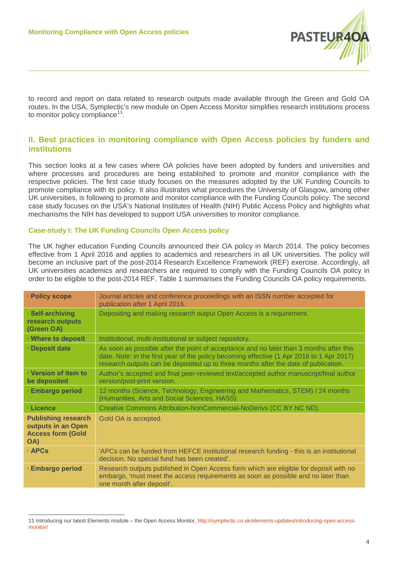

to record and report on data related to research outputs made available through the Green and Gold OA routes. In the USA, Symplectic's new module on Open Access Monitor simplifies research institutions process to monitor policy compliance<sup>[11](#page-3-0)</sup>.

# **II. Best practices in monitoring compliance with Open Access policies by funders and institutions**

This section looks at a few cases where OA policies have been adopted by funders and universities and where processes and procedures are being established to promote and monitor compliance with the respective policies. The first case study focuses on the measures adopted by the UK Funding Councils to promote compliance with its policy. It also illustrates what procedures the University of Glasgow, among other UK universities, is following to promote and monitor compliance with the Funding Councils policy. The second case study focuses on the USA's National Institutes of Health (NIH) Public Access Policy and highlights what mechanisms the NIH has developed to support USA universities to monitor compliance.

## **Case-study I: The UK Funding Councils Open Access policy**

 $\overline{a}$ 

The UK higher education Funding Councils announced their OA policy in March 2014. The policy becomes effective from 1 April 2016 and applies to academics and researchers in all UK universities. The policy will become an inclusive part of the post-2014 Research Excellence Framework (REF) exercise. Accordingly, all UK universities academics and researchers are required to comply with the Funding Councils OA policy in order to be eligible to the post-2014 REF. Table 1 summarises the Funding Councils OA policy requirements.

| · Policy scope                                                                      | Journal articles and conference proceedings with an ISSN number accepted for<br>publication after 1 April 2016.                                                                                                                                                             |
|-------------------------------------------------------------------------------------|-----------------------------------------------------------------------------------------------------------------------------------------------------------------------------------------------------------------------------------------------------------------------------|
| · Self-archiving<br>research outputs<br>(Green OA)                                  | Depositing and making research output Open Access is a requirement.                                                                                                                                                                                                         |
| · Where to deposit                                                                  | Institutional, multi-institutional or subject repository.                                                                                                                                                                                                                   |
| · Deposit date                                                                      | As soon as possible after the point of acceptance and no later than 3 months after this<br>date. Note: in the first year of the policy becoming effective (1 Apr 2016 to 1 Apr 2017)<br>research outputs can be deposited up to three months after the date of publication. |
| · Version of item to<br>be deposited                                                | Author's accepted and final peer-reviewed text/accepted author manuscript/final author<br>version/post-print version.                                                                                                                                                       |
| · Embargo period                                                                    | 12 months (Science, Technology, Engineering and Mathematics, STEM) / 24 months<br>(Humanities, Arts and Social Sciences, HASS).                                                                                                                                             |
| · Licence                                                                           | Creative Commons Attribution-NonCommercial-NoDerivs (CC BY NC ND).                                                                                                                                                                                                          |
| <b>Publishing research</b><br>outputs in an Open<br><b>Access form (Gold</b><br>OA) | Gold OA is accepted.                                                                                                                                                                                                                                                        |
| · APCs                                                                              | 'APCs can be funded from HEFCE institutional research funding - this is an institutional<br>decision. No special fund has been created'.                                                                                                                                    |
| · Embargo period                                                                    | Research outputs published in Open Access form which are eligible for deposit with no<br>embargo, 'must meet the access requirements as soon as possible and no later than<br>one month after deposit'.                                                                     |

<span id="page-3-0"></span><sup>11</sup> Introducing our latest Elements module – the Open Access Monitor[, http://symplectic.co.uk/elements-updates/introducing-open-access](http://symplectic.co.uk/elements-updates/introducing-open-access-monitor/)[monitor/](http://symplectic.co.uk/elements-updates/introducing-open-access-monitor/)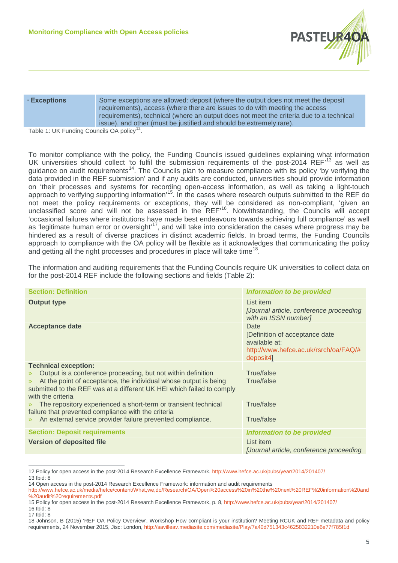

| · Exceptions |  |
|--------------|--|
|--------------|--|

Some exceptions are allowed: deposit (where the output does not meet the deposit requirements), access (where there are issues to do with meeting the access requirements), technical (where an output does not meet the criteria due to a technical issue), and other (must be justified and should be extremely rare).

Table 1: UK Funding Councils OA policy<sup>[12](#page-4-0)</sup>.

To monitor compliance with the policy, the Funding Councils issued guidelines explaining what information UK universities should collect 'to fulfil the submission requirements of the post-2014 REF<sup>[13](#page-4-1)</sup> as well as guidance on audit requirements<sup>14</sup>. The Councils plan to measure compliance with its policy 'by verifying the data provided in the REF submission' and if any audits are conducted, universities should provide information on 'their processes and systems for recording open-access information, as well as taking a light-touch approach to verifying supporting information<sup>'[15](#page-4-3)</sup>. In the cases where research outputs submitted to the REF do not meet the policy requirements or exceptions, they will be considered as non-compliant, 'given an unclassified score and will not be assessed in the REF'[16](#page-4-4). Notwithstanding, the Councils will accept 'occasional failures where institutions have made best endeavours towards achieving full compliance' as well as 'legitimate human error or oversight'<sup>17</sup>, and will take into consideration the cases where progress may be hindered as a result of diverse practices in distinct academic fields. In broad terms, the Funding Councils approach to compliance with the OA policy will be flexible as it acknowledges that communicating the policy and getting all the right processes and procedures in place will take time<sup>18</sup>.

The information and auditing requirements that the Funding Councils require UK universities to collect data on for the post-2014 REF include the following sections and fields (Table 2):

| <b>Section: Definition</b>                                                                                                                                                                                                                                                                                                                                                                                                                                                                                               | <b>Information to be provided</b>                                                                             |  |  |
|--------------------------------------------------------------------------------------------------------------------------------------------------------------------------------------------------------------------------------------------------------------------------------------------------------------------------------------------------------------------------------------------------------------------------------------------------------------------------------------------------------------------------|---------------------------------------------------------------------------------------------------------------|--|--|
| <b>Output type</b>                                                                                                                                                                                                                                                                                                                                                                                                                                                                                                       | List item<br>[Journal article, conference proceeding<br>with an ISSN number]                                  |  |  |
| <b>Acceptance date</b>                                                                                                                                                                                                                                                                                                                                                                                                                                                                                                   | Date<br>[Definition of acceptance date<br>available at:<br>http://www.hefce.ac.uk/rsrch/oa/FAQ/#<br>deposit4] |  |  |
| <b>Technical exception:</b><br>Output is a conference proceeding, but not within definition<br>$\mathcal{P}$<br>At the point of acceptance, the individual whose output is being<br>$\mathcal{P}$<br>submitted to the REF was at a different UK HEI which failed to comply<br>with the criteria<br>The repository experienced a short-term or transient technical<br>$\mathcal{P}$<br>failure that prevented compliance with the criteria<br>An external service provider failure prevented compliance.<br>$\mathcal{P}$ | True/false<br>True/false<br>True/false<br>True/false                                                          |  |  |
| <b>Section: Deposit requirements</b>                                                                                                                                                                                                                                                                                                                                                                                                                                                                                     | <b>Information to be provided</b>                                                                             |  |  |
| <b>Version of deposited file</b>                                                                                                                                                                                                                                                                                                                                                                                                                                                                                         | List item<br>[Journal article, conference proceeding                                                          |  |  |

<span id="page-4-0"></span><sup>12</sup> Policy for open access in the post-2014 Research Excellence Framework, <http://www.hefce.ac.uk/pubs/year/2014/201407/> 13 Ibid: 8

<span id="page-4-4"></span>16 Ibid: 8 17 Ibid: 8

<span id="page-4-2"></span><span id="page-4-1"></span><sup>14</sup> Open access in the post-2014 Research Excellence Framework: information and audit requirements

[http://www.hefce.ac.uk/media/hefce/content/What,we,do/Research/OA/Open%20access%20in%20the%20next%20REF%20information%20and](http://www.hefce.ac.uk/media/hefce/content/What,we,do/Research/OA/Open%20access%20in%20the%20next%20REF%20information%20and%20audit%20requirements.pdf) [%20audit%20requirements.pdf](http://www.hefce.ac.uk/media/hefce/content/What,we,do/Research/OA/Open%20access%20in%20the%20next%20REF%20information%20and%20audit%20requirements.pdf)

<span id="page-4-3"></span><sup>15</sup> Policy for open access in the post-2014 Research Excellence Framework, p. 8, <http://www.hefce.ac.uk/pubs/year/2014/201407/>

<span id="page-4-6"></span><span id="page-4-5"></span><sup>18</sup> Johnson, B (2015) 'REF OA Policy Overview', Workshop How compliant is your institution? Meeting RCUK and REF metadata and policy requirements, 24 November 2015, Jisc: London[, http://savilleav.mediasite.com/mediasite/Play/7a40d751343c4625832210e6e77f785f1d](http://savilleav.mediasite.com/mediasite/Play/7a40d751343c4625832210e6e77f785f1d)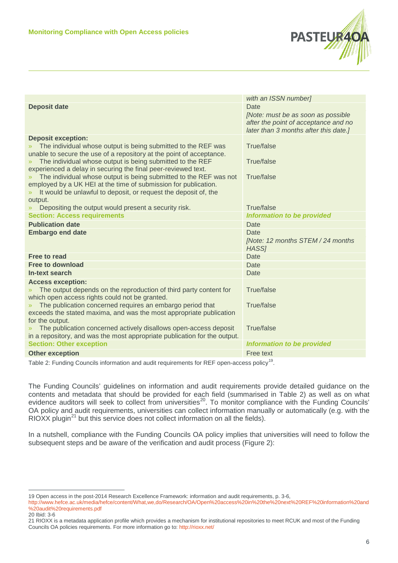

|                                                                                                                                                     | with an ISSN number]                                                                                                        |  |  |
|-----------------------------------------------------------------------------------------------------------------------------------------------------|-----------------------------------------------------------------------------------------------------------------------------|--|--|
| <b>Deposit date</b>                                                                                                                                 | Date<br>[Note: must be as soon as possible<br>after the point of acceptance and no<br>later than 3 months after this date.] |  |  |
| <b>Deposit exception:</b>                                                                                                                           |                                                                                                                             |  |  |
| The individual whose output is being submitted to the REF was                                                                                       | True/false                                                                                                                  |  |  |
| unable to secure the use of a repository at the point of acceptance.                                                                                |                                                                                                                             |  |  |
| The individual whose output is being submitted to the REF<br>$\mathcal{Y}$                                                                          | True/false                                                                                                                  |  |  |
| experienced a delay in securing the final peer-reviewed text.<br>The individual whose output is being submitted to the REF was not<br>$\mathcal{P}$ | True/false                                                                                                                  |  |  |
| employed by a UK HEI at the time of submission for publication.                                                                                     |                                                                                                                             |  |  |
| It would be unlawful to deposit, or request the deposit of, the<br>$\gg$                                                                            |                                                                                                                             |  |  |
| output.                                                                                                                                             |                                                                                                                             |  |  |
| Depositing the output would present a security risk.                                                                                                | True/false                                                                                                                  |  |  |
| <b>Section: Access requirements</b>                                                                                                                 | <b>Information to be provided</b>                                                                                           |  |  |
| <b>Publication date</b>                                                                                                                             | <b>Date</b>                                                                                                                 |  |  |
| <b>Embargo end date</b>                                                                                                                             | Date                                                                                                                        |  |  |
|                                                                                                                                                     | [Note: 12 months STEM / 24 months<br>HASS <sub>1</sub>                                                                      |  |  |
| Free to read                                                                                                                                        | <b>Date</b>                                                                                                                 |  |  |
| <b>Free to download</b>                                                                                                                             | Date                                                                                                                        |  |  |
| In-text search                                                                                                                                      | <b>Date</b>                                                                                                                 |  |  |
| <b>Access exception:</b>                                                                                                                            |                                                                                                                             |  |  |
| The output depends on the reproduction of third party content for<br>$\mathcal{V}$                                                                  | True/false                                                                                                                  |  |  |
| which open access rights could not be granted.                                                                                                      |                                                                                                                             |  |  |
| The publication concerned requires an embargo period that<br>$\rangle\!\rangle$                                                                     | <b>True/false</b>                                                                                                           |  |  |
| exceeds the stated maxima, and was the most appropriate publication<br>for the output.                                                              |                                                                                                                             |  |  |
| The publication concerned actively disallows open-access deposit                                                                                    | True/false                                                                                                                  |  |  |
| in a repository, and was the most appropriate publication for the output.                                                                           |                                                                                                                             |  |  |
| <b>Section: Other exception</b>                                                                                                                     | <b>Information to be provided</b>                                                                                           |  |  |
| <b>Other exception</b>                                                                                                                              | Free text                                                                                                                   |  |  |

Table 2: Funding Councils information and audit requirements for REF open-access policy<sup>19</sup>.

The Funding Councils' guidelines on information and audit requirements provide detailed guidance on the contents and metadata that should be provided for each field (summarised in Table 2) as well as on what evidence auditors will seek to collect from universities<sup>[20](#page-5-1)</sup>. To monitor compliance with the Funding Councils' OA policy and audit requirements, universities can collect information manually or automatically (e.g. with the RIOXX plugin<sup>[21](#page-5-2)</sup> but this service does not collect information on all the fields).

In a nutshell, compliance with the Funding Councils OA policy implies that universities will need to follow the subsequent steps and be aware of the verification and audit process (Figure 2):

<span id="page-5-0"></span><sup>19</sup> Open access in the post-2014 Research Excellence Framework: information and audit requirements, p. 3-6,

[http://www.hefce.ac.uk/media/hefce/content/What,we,do/Research/OA/Open%20access%20in%20the%20next%20REF%20information%20and](http://www.hefce.ac.uk/media/hefce/content/What,we,do/Research/OA/Open%20access%20in%20the%20next%20REF%20information%20and%20audit%20requirements.pdf) [%20audit%20requirements.pdf](http://www.hefce.ac.uk/media/hefce/content/What,we,do/Research/OA/Open%20access%20in%20the%20next%20REF%20information%20and%20audit%20requirements.pdf)

<span id="page-5-1"></span><sup>20</sup> Ibid: 3-6

<span id="page-5-2"></span><sup>21</sup> RIOXX is a metadata application profile which provides a mechanism for institutional repositories to meet RCUK and most of the Funding Councils OA policies requirements. For more information go to:<http://rioxx.net/>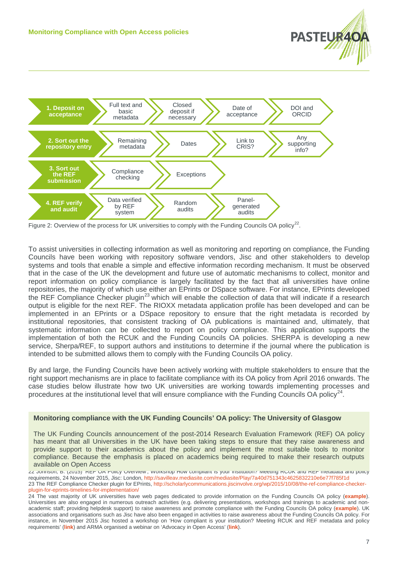



Figure 2: Overview of the process for UK universities to comply with the Funding Councils OA policy<sup>[22](#page-6-0)</sup>.

To assist universities in collecting information as well as monitoring and reporting on compliance, the Funding Councils have been working with repository software vendors, Jisc and other stakeholders to develop systems and tools that enable a simple and effective information recording mechanism. It must be observed that in the case of the UK the development and future use of automatic mechanisms to collect, monitor and report information on policy compliance is largely facilitated by the fact that all universities have online repositories, the majority of which use either an EPrints or DSpace software. For instance, EPrints developed the REF Compliance Checker plugin<sup>[23](#page-6-1)</sup> which will enable the collection of data that will indicate if a research output is eligible for the next REF. The RIOXX metadata application profile has been developed and can be implemented in an EPrints or a DSpace repository to ensure that the right metadata is recorded by institutional repositories, that consistent tracking of OA publications is maintained and, ultimately, that systematic information can be collected to report on policy compliance. This application supports the implementation of both the RCUK and the Funding Councils OA policies. SHERPA is developing a new service, Sherpa/REF, to support authors and institutions to determine if the journal where the publication is intended to be submitted allows them to comply with the Funding Councils OA policy.

By and large, the Funding Councils have been actively working with multiple stakeholders to ensure that the right support mechanisms are in place to facilitate compliance with its OA policy from April 2016 onwards. The case studies below illustrate how two UK universities are working towards implementing processes and procedures at the institutional level that will ensure compliance with the Funding Councils OA policy<sup>24</sup>.

## **Monitoring compliance with the UK Funding Councils' OA policy: The University of Glasgow**

The UK Funding Councils announcement of the post-2014 Research Evaluation Framework (REF) OA policy has meant that all Universities in the UK have been taking steps to ensure that they raise awareness and provide support to their academics about the policy and implement the most suitable tools to monitor compliance. Because the emphasis is placed on academics being required to make their research outputs available on Open Access

<span id="page-6-0"></span><sup>22</sup> Johnson, B. (2015) 'REF OA Policy Overview', Workshop How compliant is your institution? Meeting RCUK and REF metadata and policy requirements, 24 November 2015, Jisc: London[, http://savilleav.mediasite.com/mediasite/Play/7a40d751343c4625832210e6e77f785f1d](http://savilleav.mediasite.com/mediasite/Play/7a40d751343c4625832210e6e77f785f1d) 23 The REF Compliance Checker plugin for EPrints[, http://scholarlycommunications.jiscinvolve.org/wp/2015/10/08/the-ref-compliance-checker](http://scholarlycommunications.jiscinvolve.org/wp/2015/10/08/the-ref-compliance-checker-plugin-for-eprints-timelines-for-implementation/)[plugin-for-eprints-timelines-for-implementation/](http://scholarlycommunications.jiscinvolve.org/wp/2015/10/08/the-ref-compliance-checker-plugin-for-eprints-timelines-for-implementation/)

<span id="page-6-2"></span><span id="page-6-1"></span><sup>24</sup> The vast majority of UK universities have web pages dedicated to provide information on the Funding Councils OA policy (**[example](http://www.ncl.ac.uk/openaccess/ref/)**). Universities are also engaged in numerous outreach activities (e.g. delivering presentations, workshops and trainings to academic and nonacademic staff; providing helpdesk support) to raise awareness and promote compliance with the Funding Councils OA policy (**[example](http://www.library.manchester.ac.uk/services-and-support/staff/research/services/open-access-at-manchester/about/)**). UK associations and organisations such as Jisc have also been engaged in activities to raise awareness about the Funding Councils OA policy. For instance, in November 2015 Jisc hosted a workshop on 'How compliant is your institution? Meeting RCUK and REF metadata and policy requirements' (**[link](http://savilleav.mediasite.com/mediasite/Play/7a40d751343c4625832210e6e77f785f1d)**) and ARMA organised a webinar on 'Advocacy in Open Access' (**[link](https://www.youtube.com/watch?v=8NBlroc9aPM#t=3474)**).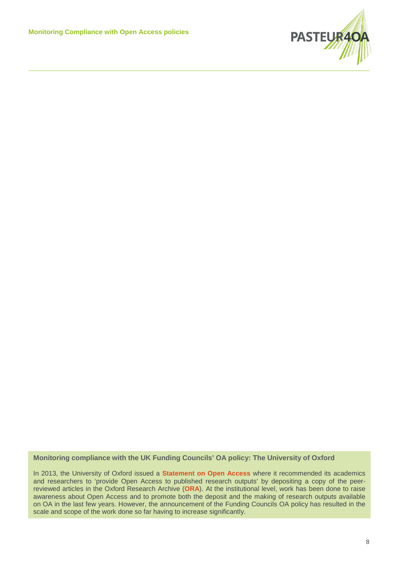

#### **Monitoring compliance with the UK Funding Councils' OA policy: The University of Oxford**

In 2013, the University of Oxford issued a **[Statement on Open Access](http://openaccess.ox.ac.uk/wp-uploads/2013/03/Statement-on-Open-Access-at-the-University-of-Oxford-Approved-by-Council-on-11-March-2013.pdf)** where it recommended its academics and researchers to 'provide Open Access to published research outputs' by depositing a copy of the peerreviewed articles in the Oxford Research Archive (**[ORA](http://ora.ox.ac.uk/)**). At the institutional level, work has been done to raise awareness about Open Access and to promote both the deposit and the making of research outputs available on OA in the last few years. However, the announcement of the Funding Councils OA policy has resulted in the scale and scope of the work done so far having to increase significantly.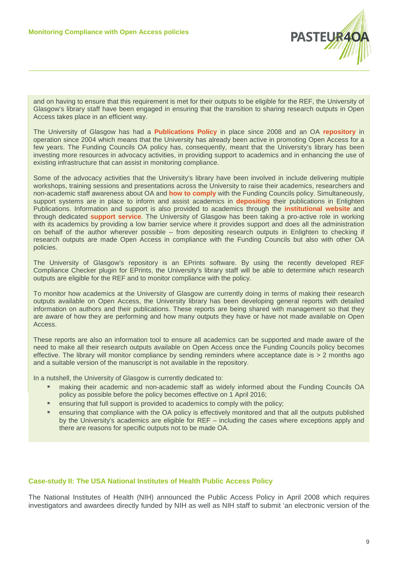

and on having to ensure that this requirement is met for their outputs to be eligible for the REF, the University of Glasgow's library staff have been engaged in ensuring that the transition to sharing research outputs in Open efficient service to its academics and researchers on issues involving the deposit and making research outputs Access takes place in an efficient way.

The University of Glasgow has had a **Publications Policy** in place since 2008 and an OA repository in operation since 2004 which means that the University has already been active in promoting Open Access for a few years. Th[e Funding](http://openaccess.ox.ac.uk/pilots-hilary-2015/) Councils OA policy has, consequently, meant that the University's library has been investing more resources in advocacy activities, in providing support to academics and in enhancing the use of existing infrastructure that can assist in monitoring compliance. The data collation; and data collation; and data continue that can assist in monitoring compliance.

workshops, training sessions and presentations across the University to raise their academics, researchers and non-academic staff awareness about OA and **how to comply** with the Funding Councils policy. Simultaneously, support systems are in place to inform and assist academics in **depositing** their publications in Enlighten Publications. Information [and](http://openaccess.ox.ac.uk/home-2/act-on-acceptance/) support is also provided to academics through the institutional website and [through dedicate](http://openaccess.ox.ac.uk/home-2/act-on-acceptance/)d support service. The University of Glasgow has been taking a pro-active role in working with its academics by providing a low barrier service where it provides support and does all the administration on behalf of the author wherever possible – from depositing research outputs in Enlighten to checking if research outputs are made Open Access in compliance with the Funding Councils but also with other OA  $\,$  policies.  $\,$  and  $\,$  academic divisions; through training delivered to academic staff, subject librarians, and  $\,$ Some of the advocacy activities that the University's library have been involved in include delivering multiple policies.

The University of Glasgow's repository is an EPrints software. By using the recently developed REF [Complian](http://openaccess.ox.ac.uk/home-2/act-on-acceptance/)ce Checker plugin for EPrints, the University's library staff will be able to determine which research outputs are eligible for the REF and to monitor compliance with the policy.

To monitor how academics at the University of Glasgow are currently doing in terms of making their research outputs available on Open Access, the University library has been developing general reports with detailed information on authors and their publications. These reports are being shared with management so that they At the infrastructure level, the University of Oxford has adopted **[Symplectic](http://openaccess.ox.ac.uk/wp-uploads/2015/11/Symplectic-ORA-deposit-guide-v2.0-Nov-2015.pdf)** as a service that assists in policy are aware of how they are performing and how many outputs they have or have not made available on Open Access.

These reports are also an information tool to ensure all [academics](http://openaccess.ox.ac.uk/orcid-at-oxford-goes-live/) can be supported and made aware of the effective. The library will monitor compliance by sending reminders where acceptance date is > 2 months ago and a suitable version of the manuscript is not available in the repository. need to make all their research outputs available on Open Access once the Funding Councils policy becomes

In a nutshell, the University of Glasgow is currently dedicated to:

- **▪** making their academic and non-academic staff as widely informed about the Funding Councils OA policy as possible before the policy becomes effective on 1 April 2016;
- ensuring that full support is provided to academics to comply with the policy;
- **■** ensuring that compliance with the OA policy is effectively monitored and that all the outputs published by the University's academics are eligible for REF – including the cases where exceptions apply and there are reasons for specific outputs not to be made OA.

## **Case-study II: The USA National Institutes of Health Public Access Policy**

The National Institutes of Health (NIH) announced the Public Access Policy in April 2008 which requires investigators and awardees directly funded by NIH as well as NIH staff to submit 'an electronic version of the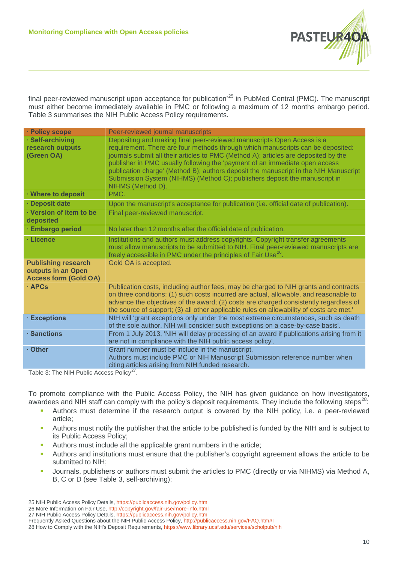

final peer-reviewed manuscript upon acceptance for publication<sup>[25](#page-9-0)</sup> in PubMed Central (PMC). The manuscript must either become immediately available in PMC or following a maximum of 12 months embargo period. Table 3 summarises the NIH Public Access Policy requirements.

| · Policy scope                                                                   | Peer-reviewed journal manuscripts                                                                                                                                                                                                                                                                                                                                                                                                                                                                                          |
|----------------------------------------------------------------------------------|----------------------------------------------------------------------------------------------------------------------------------------------------------------------------------------------------------------------------------------------------------------------------------------------------------------------------------------------------------------------------------------------------------------------------------------------------------------------------------------------------------------------------|
| · Self-archiving<br>research outputs<br>(Green OA)                               | Depositing and making final peer-reviewed manuscripts Open Access is a<br>requirement. There are four methods through which manuscripts can be deposited:<br>journals submit all their articles to PMC (Method A); articles are deposited by the<br>publisher in PMC usually following the 'payment of an immediate open access<br>publication charge' (Method B); authors deposit the manuscript in the NIH Manuscript<br>Submission System (NIHMS) (Method C); publishers deposit the manuscript in<br>NIHMS (Method D). |
| · Where to deposit                                                               | PMC.                                                                                                                                                                                                                                                                                                                                                                                                                                                                                                                       |
| · Deposit date                                                                   | Upon the manuscript's acceptance for publication (i.e. official date of publication).                                                                                                                                                                                                                                                                                                                                                                                                                                      |
| · Version of item to be<br>deposited                                             | Final peer-reviewed manuscript.                                                                                                                                                                                                                                                                                                                                                                                                                                                                                            |
| · Embargo period                                                                 | No later than 12 months after the official date of publication.                                                                                                                                                                                                                                                                                                                                                                                                                                                            |
| · Licence                                                                        | Institutions and authors must address copyrights. Copyright transfer agreements<br>must allow manuscripts to be submitted to NIH. Final peer-reviewed manuscripts are<br>freely accessible in PMC under the principles of Fair Use <sup>26</sup> .                                                                                                                                                                                                                                                                         |
| <b>Publishing research</b><br>outputs in an Open<br><b>Access form (Gold OA)</b> | Gold OA is accepted.                                                                                                                                                                                                                                                                                                                                                                                                                                                                                                       |
| · APCs                                                                           | Publication costs, including author fees, may be charged to NIH grants and contracts<br>on three conditions: (1) such costs incurred are actual, allowable, and reasonable to<br>advance the objectives of the award; (2) costs are charged consistently regardless of<br>the source of support; (3) all other applicable rules on allowability of costs are met.'                                                                                                                                                         |
| · Exceptions                                                                     | NIH will 'grant exceptions only under the most extreme circumstances, such as death<br>of the sole author. NIH will consider such exceptions on a case-by-case basis'.                                                                                                                                                                                                                                                                                                                                                     |
| · Sanctions                                                                      | From 1 July 2013, 'NIH will delay processing of an award if publications arising from it<br>are not in compliance with the NIH public access policy'.                                                                                                                                                                                                                                                                                                                                                                      |
| · Other                                                                          | Grant number must be include in the manuscript.<br>Authors must include PMC or NIH Manuscript Submission reference number when<br>citing articles arising from NIH funded research.                                                                                                                                                                                                                                                                                                                                        |

Table 3: The NIH Public Access Policy<sup>[27](#page-9-2)</sup>.

 $\overline{a}$ 

To promote compliance with the Public Access Policy, the NIH has given guidance on how investigators, awardees and NIH staff can comply with the policy's deposit requirements. They include the following steps<sup>28</sup>:

- **▪** Authors must determine if the research output is covered by the NIH policy, i.e. a peer-reviewed article;
- **▪** Authors must notify the publisher that the article to be published is funded by the NIH and is subject to its Public Access Policy;
- Authors must include all the applicable grant numbers in the article;
- Authors and institutions must ensure that the publisher's copyright agreement allows the article to be submitted to NIH;
- Journals, publishers or authors must submit the articles to PMC (directly or via NIHMS) via Method A, B, C or D (see Table 3, self-archiving);

<span id="page-9-3"></span>28 How to Comply with the NIH's Deposit Requirements,<https://www.library.ucsf.edu/services/scholpub/nih>

<span id="page-9-0"></span><sup>25</sup> NIH Public Access Policy Details[, https://publicaccess.nih.gov/policy.htm](https://publicaccess.nih.gov/policy.htm)

<span id="page-9-1"></span><sup>26</sup> More Information on Fair Use[, http://copyright.gov/fair-use/more-info.html](http://copyright.gov/fair-use/more-info.html)

<span id="page-9-2"></span><sup>27</sup> NIH Public Access Policy Details[, https://publicaccess.nih.gov/policy.htm](https://publicaccess.nih.gov/policy.htm)

Frequently Asked Questions about the NIH Public Access Policy[, http://publicaccess.nih.gov/FAQ.htm#I](http://publicaccess.nih.gov/FAQ.htm#I)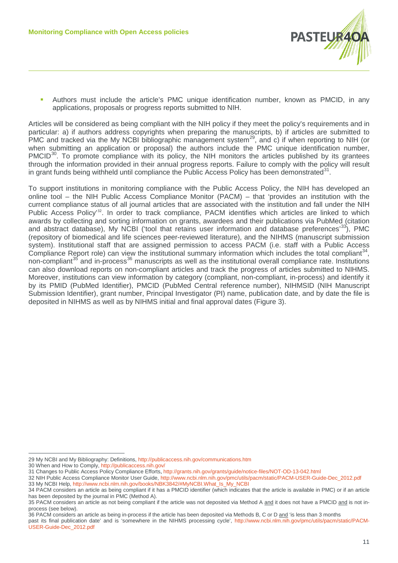

**▪** Authors must include the article's PMC unique identification number, known as PMCID, in any applications, proposals or progress reports submitted to NIH.

Articles will be considered as being compliant with the NIH policy if they meet the policy's requirements and in particular: a) if authors address copyrights when preparing the manuscripts, b) if articles are submitted to PMC and tracked via the My NCBI bibliographic management system<sup>[29](#page-10-0)</sup>, and c) if when reporting to NIH (or when submitting an application or proposal) the authors include the PMC unique identification number,  $PMCID<sup>30</sup>$ . To promote compliance with its policy, the NIH monitors the articles published by its grantees through the information provided in their annual progress reports. Failure to comply with the policy will result in grant funds being withheld until compliance the Public Access Policy has been demonstrated  $31$ .

To support institutions in monitoring compliance with the Public Access Policy, the NIH has developed an online tool – the NIH Public Access Compliance Monitor (PACM) – that 'provides an institution with the current compliance status of all journal articles that are associated with the institution and fall under the NIH Public Access Policy<sup>'[32](#page-10-3)</sup>. In order to track compliance, PACM identifies which articles are linked to which awards by collecting and sorting information on grants, awardees and their publications via PubMed (citation and abstract database), My NCBI ('tool that retains user information and database preferences'<sup>[33](#page-10-4)</sup>), PMC (repository of biomedical and life sciences peer-reviewed literature), and the NIHMS (manuscript submission system). Institutional staff that are assigned permission to access PACM (i.e. staff with a Public Access Compliance Report role) can view the institutional summary information which includes the total compliant<sup>34</sup>. non-compliant<sup>[35](#page-10-6)</sup> and in-process<sup>[36](#page-10-7)</sup> manuscripts as well as the institutional overall compliance rate. Institutions can also download reports on non-compliant articles and track the progress of articles submitted to NIHMS. Moreover, institutions can view information by category (compliant, non-compliant, in-process) and identify it by its PMID (PubMed Identifier), PMCID (PubMed Central reference number), NIHMSID (NIH Manuscript Submission Identifier), grant number, Principal Investigator (PI) name, publication date, and by date the file is deposited in NIHMS as well as by NIHMS initial and final approval dates (Figure 3).

<span id="page-10-0"></span><sup>29</sup> My NCBI and My Bibliography: Definitions[, http://publicaccess.nih.gov/communications.htm](http://publicaccess.nih.gov/communications.htm)

<span id="page-10-1"></span><sup>30</sup> When and How to Comply,<http://publicaccess.nih.gov/>

<span id="page-10-2"></span><sup>31</sup> Changes to Public Access Policy Compliance Efforts[, http://grants.nih.gov/grants/guide/notice-files/NOT-OD-13-042.html](http://grants.nih.gov/grants/guide/notice-files/NOT-OD-13-042.html)

<span id="page-10-3"></span><sup>32</sup> NIH Public Access Compliance Monitor User Guide, [http://www.ncbi.nlm.nih.gov/pmc/utils/pacm/static/PACM-USER-Guide-Dec\\_2012.pdf](http://www.ncbi.nlm.nih.gov/pmc/utils/pacm/static/PACM-USER-Guide-Dec_2012.pdf)

<span id="page-10-4"></span><sup>33</sup> My NCBI Help, [http://www.ncbi.nlm.nih.gov/books/NBK3842/#MyNCBI.What\\_Is\\_My\\_NCBI](http://www.ncbi.nlm.nih.gov/books/NBK3842/#MyNCBI.What_Is_My_NCBI)

<span id="page-10-5"></span><sup>34</sup> PACM considers an article as being compliant if it has a PMCID identifier (which indicates that the article is available in PMC) or if an article has been deposited by the journal in PMC (Method A).

<span id="page-10-6"></span><sup>35</sup> PACM considers an article as not being compliant if the article was not deposited via Method A and it does not have a PMCID and is not inprocess (see below).

<span id="page-10-7"></span><sup>36</sup> PACM considers an article as being in-process if the article has been deposited via Methods B, C or D and 'is less than 3 months past its final publication date' and is 'somewhere in the NIHMS processing cycle', [http://www.ncbi.nlm.nih.gov/pmc/utils/pacm/static/PACM-](http://www.ncbi.nlm.nih.gov/pmc/utils/pacm/static/PACM-USER-Guide-Dec_2012.pdf)[USER-Guide-Dec\\_2012.pdf](http://www.ncbi.nlm.nih.gov/pmc/utils/pacm/static/PACM-USER-Guide-Dec_2012.pdf)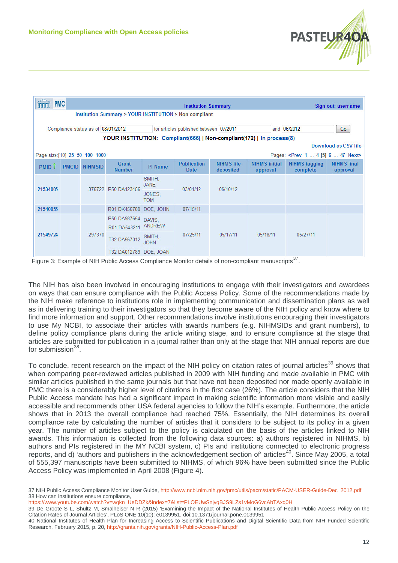

| <b>PMC</b>                                                                                        |              |                | <b>Institution Summary</b> |                       |                            |                                |                                  |                                  | Sign out: username             |
|---------------------------------------------------------------------------------------------------|--------------|----------------|----------------------------|-----------------------|----------------------------|--------------------------------|----------------------------------|----------------------------------|--------------------------------|
| Institution Summary > YOUR INSTITUTION > Non-compliant                                            |              |                |                            |                       |                            |                                |                                  |                                  |                                |
| and 06/2012<br>for articles published between 07/2011<br>Compliance status as of 08/01/2012<br>Go |              |                |                            |                       |                            |                                |                                  |                                  |                                |
| YOUR INSTITUTION: Compliant(666)   Non-compliant(172)   In process(8)<br>Download as CSV file     |              |                |                            |                       |                            |                                |                                  |                                  |                                |
| Page size:[10] 25 50 100 1000<br>Pages: <prev 1="" 4="" 47="" 6="" [5]="" next=""></prev>         |              |                |                            |                       |                            |                                |                                  |                                  |                                |
| <b>PMID</b> <sup>1</sup>                                                                          | <b>PMCID</b> | <b>NIHMSID</b> | Grant<br><b>Number</b>     | <b>PI</b> Name        | <b>Publication</b><br>Date | <b>NIHMS file</b><br>deposited | <b>NIHMS</b> initial<br>approval | <b>NIHMS</b> tagging<br>complete | <b>NIHMS</b> final<br>approval |
|                                                                                                   |              |                | 376722 P50 DA123456        | SMITH.<br><b>JANE</b> |                            |                                |                                  |                                  |                                |
| 21534005                                                                                          |              |                | JONES.<br><b>TOM</b>       | 03/01/12              | 05/10/12                   |                                |                                  |                                  |                                |
| 21540055                                                                                          |              |                | R01 DK456789 DOE, JOHN     |                       | 07/15/11                   |                                |                                  |                                  |                                |
| 21549724                                                                                          |              | 297370         | P50 DA987654               | DAVIS.                | 07/25/11                   | 05/17/11                       | 05/18/11                         | 05/27/11                         |                                |
|                                                                                                   |              |                | R01 DA543211               | ANDREW                |                            |                                |                                  |                                  |                                |
|                                                                                                   |              |                | T32 DA567012               | SMITH,<br><b>JOHN</b> |                            |                                |                                  |                                  |                                |
|                                                                                                   |              |                | T32 DA012789 DOE, JOAN     |                       |                            |                                |                                  | ワフ                               |                                |

Figure 3: Example of NIH Public Access Compliance Monitor details of non-compliant manuscripts<sup>[37](#page-11-0)</sup>.

The NIH has also been involved in encouraging institutions to engage with their investigators and awardees on ways that can ensure compliance with the Public Access Policy. Some of the recommendations made by the NIH make reference to institutions role in implementing communication and dissemination plans as well as in delivering training to their investigators so that they become aware of the NIH policy and know where to find more information and support. Other recommendations involve institutions encouraging their investigators to use My NCBI, to associate their articles with awards numbers (e.g. NIHMSIDs and grant numbers), to define policy compliance plans during the article writing stage, and to ensure compliance at the stage that articles are submitted for publication in a journal rather than only at the stage that NIH annual reports are due for submission $38$ .

To conclude, recent research on the impact of the NIH policy on citation rates of journal articles<sup>[39](#page-11-2)</sup> shows that when comparing peer-reviewed articles published in 2009 with NIH funding and made available in PMC with similar articles published in the same journals but that have not been deposited nor made openly available in PMC there is a considerably higher level of citations in the first case (26%). The article considers that the NIH Public Access mandate has had a significant impact in making scientific information more visible and easily accessible and recommends other USA federal agencies to follow the NIH's example. Furthermore, the article shows that in 2013 the overall compliance had reached 75%. Essentially, the NIH determines its overall compliance rate by calculating the number of articles that it considers to be subject to its policy in a given year. The number of articles subject to the policy is calculated on the basis of the articles linked to NIH awards. This information is collected from the following data sources: a) authors registered in NIHMS, b) authors and PIs registered in the MY NCBI system, c) PIs and institutions connected to electronic progress reports, and d) 'authors and publishers in the acknowledgement section of' articles<sup>40</sup>. Since May 2005, a total of 555,397 manuscripts have been submitted to NIHMS, of which 96% have been submitted since the Public Access Policy was implemented in April 2008 (Figure 4).

<span id="page-11-1"></span><span id="page-11-0"></span><sup>37</sup> NIH Public Access Compliance Monitor User Guide, [http://www.ncbi.nlm.nih.gov/pmc/utils/pacm/static/PACM-USER-Guide-Dec\\_2012.pdf](http://www.ncbi.nlm.nih.gov/pmc/utils/pacm/static/PACM-USER-Guide-Dec_2012.pdf) 38 How can institutions ensure compliance,

[https://www.youtube.com/watch?v=wqkn\\_UeDDZk&index=7&list=PLOEUwSnjvqBJS9LZs1vMoG6vcAbTAxq0H](https://www.youtube.com/watch?v=wqkn_UeDDZk&index=7&list=PLOEUwSnjvqBJS9LZs1vMoG6vcAbTAxq0H)

<span id="page-11-2"></span><sup>39</sup> De Groote S L, Shultz M, Smalheiser N R (2015) 'Examining the Impact of the National Institutes of Health Public Access Policy on the Citation Rates of Journal Articles', PLoS ONE 10(10): e0139951. doi:10.1371/journal.pone.0139951

<span id="page-11-3"></span><sup>40</sup> National Institutes of Health Plan for Increasing Access to Scientific Publications and Digital Scientific Data from NIH Funded Scientific Research, February 2015, p. 20,<http://grants.nih.gov/grants/NIH-Public-Access-Plan.pdf>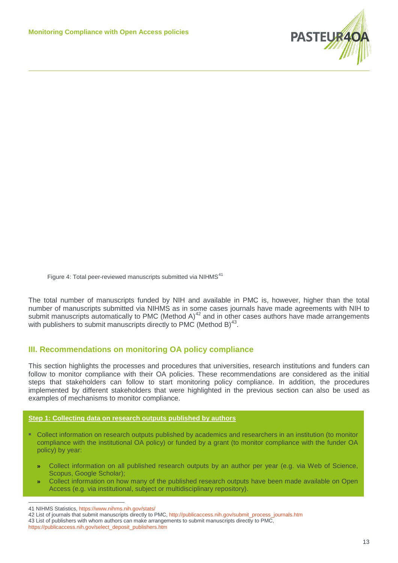

Figure 4: Total peer-reviewed manuscripts submitted via NIHMS<sup>[41](#page-12-0)</sup>

The total number of manuscripts funded by NIH and available in PMC is, however, higher than the total number of manuscripts submitted via NIHMS as in some cases journals have made agreements with NIH to submit manuscripts automatically to PMC (Method A) $^{42}$  $^{42}$  $^{42}$  and in other cases authors have made arrangements with publishers to submit manuscripts directly to PMC (Method B) $^{43}$  $^{43}$  $^{43}$ .

## **III. Recommendations on monitoring OA policy compliance**

This section highlights the processes and procedures that universities, research institutions and funders can follow to monitor compliance with their OA policies. These recommendations are considered as the initial steps that stakeholders can follow to start monitoring policy compliance. In addition, the procedures implemented by different stakeholders that were highlighted in the previous section can also be used as examples of mechanisms to monitor compliance.

#### **Step 1: Collecting data on research outputs published by authors**

- **▪** Collect information on research outputs published by academics and researchers in an institution (to monitor compliance with the institutional OA policy) or funded by a grant (to monitor compliance with the funder OA policy) by year:
	- **»** Collect information on all published research outputs by an author per year (e.g. via Web of Science, Scopus, Google Scholar);
	- **»** Collect information on how many of the published research outputs have been made available on Open Access (e.g. via institutional, subject or multidisciplinary repository).

<span id="page-12-0"></span><sup>41</sup> NIHMS Statistics[, https://www.nihms.nih.gov/stats/](https://www.nihms.nih.gov/stats/)

<span id="page-12-1"></span><sup>42</sup> List of journals that submit manuscripts directly to PMC, [http://publicaccess.nih.gov/submit\\_process\\_journals.htm](http://publicaccess.nih.gov/submit_process_journals.htm)

<span id="page-12-2"></span><sup>43</sup> List of publishers with whom authors can make arrangements to submit manuscripts directly to PMC,

[https://publicaccess.nih.gov/select\\_deposit\\_publishers.htm](https://publicaccess.nih.gov/select_deposit_publishers.htm)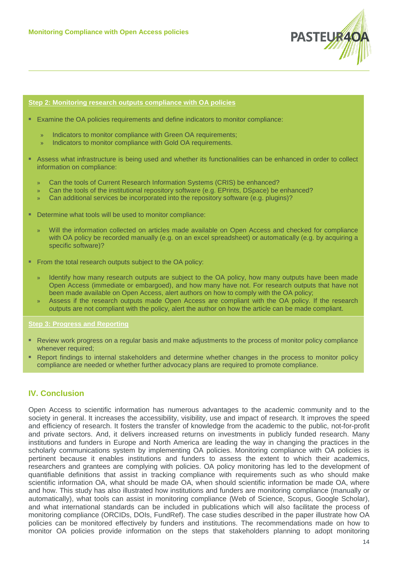

#### **Step 2: Monitoring research outputs compliance with OA policies**

- Examine the OA policies requirements and define indicators to monitor compliance:
	- Indicators to monitor compliance with Green OA requirements;
	- Indicators to monitor compliance with Gold OA requirements.
- **▪** Assess what infrastructure is being used and whether its functionalities can be enhanced in order to collect information on compliance:
	- » Can the tools of Current Research Information Systems (CRIS) be enhanced?
	- » Can the tools of the institutional repository software (e.g. EPrints, DSpace) be enhanced?
	- » Can additional services be incorporated into the repository software (e.g. plugins)?
- Determine what tools will be used to monitor compliance:
	- » Will the information collected on articles made available on Open Access and checked for compliance with OA policy be recorded manually (e.g. on an excel spreadsheet) or automatically (e.g. by acquiring a specific software)?
- From the total research outputs subject to the OA policy:
	- » Identify how many research outputs are subject to the OA policy, how many outputs have been made Open Access (immediate or embargoed), and how many have not. For research outputs that have not been made available on Open Access, alert authors on how to comply with the OA policy;
	- » Assess if the research outputs made Open Access are compliant with the OA policy. If the research outputs are not compliant with the policy, alert the author on how the article can be made compliant.

#### **Step 3: Progress and Reporting**

- Review work progress on a regular basis and make adjustments to the process of monitor policy compliance whenever required:
- **Report findings to internal stakeholders and determine whether changes in the process to monitor policy** compliance are needed or whether further advocacy plans are required to promote compliance.

## **IV. Conclusion**

Open Access to scientific information has numerous advantages to the academic community and to the society in general. It increases the accessibility, visibility, use and impact of research. It improves the speed and efficiency of research. It fosters the transfer of knowledge from the academic to the public, not-for-profit and private sectors. And, it delivers increased returns on investments in publicly funded research. Many institutions and funders in Europe and North America are leading the way in changing the practices in the scholarly communications system by implementing OA policies. Monitoring compliance with OA policies is pertinent because it enables institutions and funders to assess the extent to which their academics, researchers and grantees are complying with policies. OA policy monitoring has led to the development of quantifiable definitions that assist in tracking compliance with requirements such as who should make scientific information OA, what should be made OA, when should scientific information be made OA, where and how. This study has also illustrated how institutions and funders are monitoring compliance (manually or automatically), what tools can assist in monitoring compliance (Web of Science, Scopus, Google Scholar), and what international standards can be included in publications which will also facilitate the process of monitoring compliance (ORCIDs, DOIs, FundRef). The case studies described in the paper illustrate how OA policies can be monitored effectively by funders and institutions. The recommendations made on how to monitor OA policies provide information on the steps that stakeholders planning to adopt monitoring